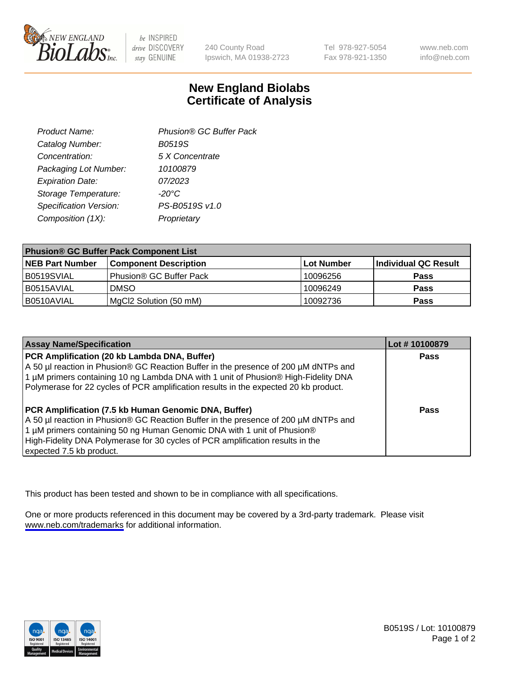

be INSPIRED drive DISCOVERY stay GENUINE

240 County Road Ipswich, MA 01938-2723 Tel 978-927-5054 Fax 978-921-1350

www.neb.com info@neb.com

## **New England Biolabs Certificate of Analysis**

| Product Name:           | Phusion® GC Buffer Pack |
|-------------------------|-------------------------|
| Catalog Number:         | B0519S                  |
| Concentration:          | 5 X Concentrate         |
| Packaging Lot Number:   | 10100879                |
| <b>Expiration Date:</b> | 07/2023                 |
| Storage Temperature:    | $-20^{\circ}$ C         |
| Specification Version:  | PS-B0519S v1.0          |
| Composition (1X):       | Proprietary             |
|                         |                         |

| <b>Phusion® GC Buffer Pack Component List</b> |                              |             |                      |  |
|-----------------------------------------------|------------------------------|-------------|----------------------|--|
| <b>NEB Part Number</b>                        | <b>Component Description</b> | ∣Lot Number | Individual QC Result |  |
| B0519SVIAL                                    | Phusion® GC Buffer Pack      | 10096256    | <b>Pass</b>          |  |
| B0515AVIAL                                    | <b>DMSO</b>                  | 10096249    | <b>Pass</b>          |  |
| B0510AVIAL                                    | MgCl2 Solution (50 mM)       | 10092736    | <b>Pass</b>          |  |

| <b>Assay Name/Specification</b>                                                                                                                                                                                                                                                                                                      | Lot #10100879 |
|--------------------------------------------------------------------------------------------------------------------------------------------------------------------------------------------------------------------------------------------------------------------------------------------------------------------------------------|---------------|
| PCR Amplification (20 kb Lambda DNA, Buffer)<br>A 50 µl reaction in Phusion® GC Reaction Buffer in the presence of 200 µM dNTPs and<br>1 μM primers containing 10 ng Lambda DNA with 1 unit of Phusion® High-Fidelity DNA<br>Polymerase for 22 cycles of PCR amplification results in the expected 20 kb product.                    | <b>Pass</b>   |
| PCR Amplification (7.5 kb Human Genomic DNA, Buffer)<br>A 50 µl reaction in Phusion® GC Reaction Buffer in the presence of 200 µM dNTPs and<br>1 µM primers containing 50 ng Human Genomic DNA with 1 unit of Phusion®<br>High-Fidelity DNA Polymerase for 30 cycles of PCR amplification results in the<br>expected 7.5 kb product. | <b>Pass</b>   |

This product has been tested and shown to be in compliance with all specifications.

One or more products referenced in this document may be covered by a 3rd-party trademark. Please visit <www.neb.com/trademarks>for additional information.